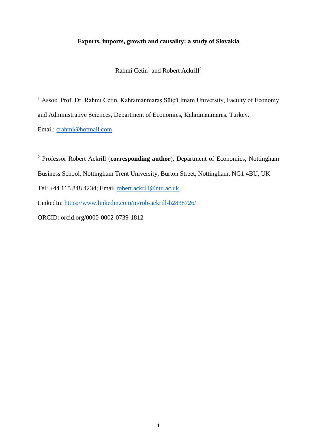# **Exports, imports, growth and causality: a study of Slovakia**

Rahmi Cetin<sup>1</sup> and Robert Ackrill<sup>2</sup>

<sup>1</sup> Assoc. Prof. Dr. Rahmi Cetin, Kahramanmaraş Sütçü İmam University, Faculty of Economy and Administrative Sciences, Department of Economics, Kahramanmaraş, Turkey. Email: [crahmi@hotmail.com](mailto:crahmi@hotmail.com)

<sup>2</sup> Professor Robert Ackrill (**corresponding author**), Department of Economics, Nottingham Business School, Nottingham Trent University, Burton Street, Nottingham, NG1 4BU, UK Tel: +44 115 848 4234; Email [robert.ackrill@ntu.ac.uk](mailto:robert.ackrill@ntu.ac.uk) LinkedIn:<https://www.linkedin.com/in/rob-ackrill-b2838726/> ORCID: orcid.org/0000-0002-0739-1812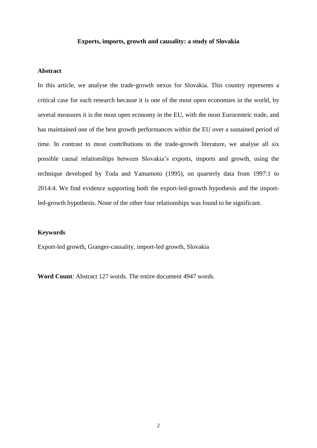### **Exports, imports, growth and causality: a study of Slovakia**

### **Abstract**

In this article, we analyse the trade-growth nexus for Slovakia. This country represents a critical case for such research because it is one of the most open economies in the world, by several measures it is the most open economy in the EU, with the most Eurocentric trade, and has maintained one of the best growth performances within the EU over a sustained period of time. In contrast to most contributions to the trade-growth literature, we analyse all six possible causal relationships between Slovakia's exports, imports and growth, using the technique developed by Toda and Yamamoto (1995), on quarterly data from 1997:1 to 2014:4. We find evidence supporting both the export-led-growth hypothesis and the importled-growth hypothesis. None of the other four relationships was found to be significant.

### **Keywords**

Export-led growth, Granger-causality, import-led growth, Slovakia

**Word Count**: Abstract 127 words. The entire document 4947 words.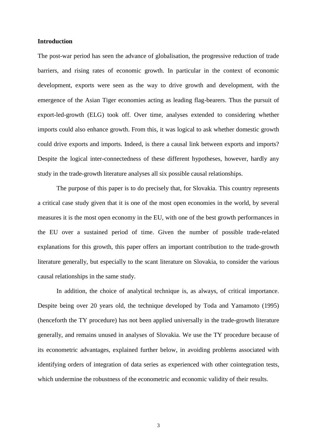## **Introduction**

The post-war period has seen the advance of globalisation, the progressive reduction of trade barriers, and rising rates of economic growth. In particular in the context of economic development, exports were seen as the way to drive growth and development, with the emergence of the Asian Tiger economies acting as leading flag-bearers. Thus the pursuit of export-led-growth (ELG) took off. Over time, analyses extended to considering whether imports could also enhance growth. From this, it was logical to ask whether domestic growth could drive exports and imports. Indeed, is there a causal link between exports and imports? Despite the logical inter-connectedness of these different hypotheses, however, hardly any study in the trade-growth literature analyses all six possible causal relationships.

The purpose of this paper is to do precisely that, for Slovakia. This country represents a critical case study given that it is one of the most open economies in the world, by several measures it is the most open economy in the EU, with one of the best growth performances in the EU over a sustained period of time. Given the number of possible trade-related explanations for this growth, this paper offers an important contribution to the trade-growth literature generally, but especially to the scant literature on Slovakia, to consider the various causal relationships in the same study.

In addition, the choice of analytical technique is, as always, of critical importance. Despite being over 20 years old, the technique developed by Toda and Yamamoto (1995) (henceforth the TY procedure) has not been applied universally in the trade-growth literature generally, and remains unused in analyses of Slovakia. We use the TY procedure because of its econometric advantages, explained further below, in avoiding problems associated with identifying orders of integration of data series as experienced with other cointegration tests, which undermine the robustness of the econometric and economic validity of their results.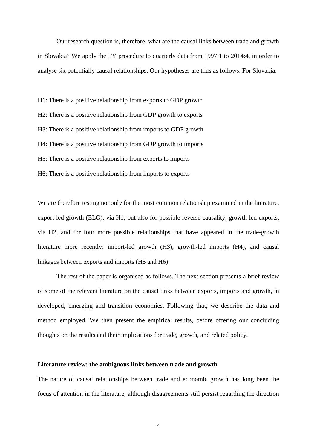Our research question is, therefore, what are the causal links between trade and growth in Slovakia? We apply the TY procedure to quarterly data from 1997:1 to 2014:4, in order to analyse six potentially causal relationships. Our hypotheses are thus as follows. For Slovakia:

H1: There is a positive relationship from exports to GDP growth H2: There is a positive relationship from GDP growth to exports H3: There is a positive relationship from imports to GDP growth H4: There is a positive relationship from GDP growth to imports H5: There is a positive relationship from exports to imports H6: There is a positive relationship from imports to exports

We are therefore testing not only for the most common relationship examined in the literature, export-led growth (ELG), via H1; but also for possible reverse causality, growth-led exports, via H2, and for four more possible relationships that have appeared in the trade-growth literature more recently: import-led growth (H3), growth-led imports (H4), and causal linkages between exports and imports (H5 and H6).

The rest of the paper is organised as follows. The next section presents a brief review of some of the relevant literature on the causal links between exports, imports and growth, in developed, emerging and transition economies. Following that, we describe the data and method employed. We then present the empirical results, before offering our concluding thoughts on the results and their implications for trade, growth, and related policy.

#### **Literature review: the ambiguous links between trade and growth**

The nature of causal relationships between trade and economic growth has long been the focus of attention in the literature, although disagreements still persist regarding the direction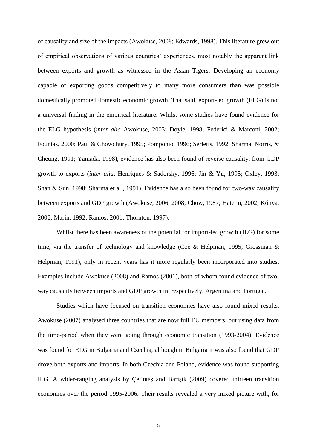of causality and size of the impacts (Awokuse, 2008; Edwards, 1998). This literature grew out of empirical observations of various countries' experiences, most notably the apparent link between exports and growth as witnessed in the Asian Tigers. Developing an economy capable of exporting goods competitively to many more consumers than was possible domestically promoted domestic economic growth. That said, export-led growth (ELG) is not a universal finding in the empirical literature. Whilst some studies have found evidence for the ELG hypothesis (*inter alia* Awokuse, 2003; Doyle, 1998; Federici & Marconi, 2002; Fountas, 2000; Paul & Chowdhury, 1995; Pomponio, 1996; Serletis, 1992; Sharma, Norris, & Cheung, 1991; Yamada, 1998), evidence has also been found of reverse causality, from GDP growth to exports (*inter alia*, Henriques & Sadorsky, 1996; Jin & Yu, 1995; Oxley, 1993; Shan & Sun, 1998; Sharma et al., 1991). Evidence has also been found for two-way causality between exports and GDP growth (Awokuse, 2006, 2008; Chow, 1987; Hatemi, 2002; Kónya, 2006; Marin, 1992; Ramos, 2001; Thornton, 1997).

Whilst there has been awareness of the potential for import-led growth (ILG) for some time, via the transfer of technology and knowledge (Coe & Helpman, 1995; Grossman & Helpman, 1991), only in recent years has it more regularly been incorporated into studies. Examples include Awokuse (2008) and Ramos (2001), both of whom found evidence of twoway causality between imports and GDP growth in, respectively, Argentina and Portugal.

Studies which have focused on transition economies have also found mixed results. Awokuse (2007) analysed three countries that are now full EU members, but using data from the time-period when they were going through economic transition (1993-2004). Evidence was found for ELG in Bulgaria and Czechia, although in Bulgaria it was also found that GDP drove both exports and imports. In both Czechia and Poland, evidence was found supporting ILG. A wider-ranging analysis by Çetintaş and Barişik (2009) covered thirteen transition economies over the period 1995-2006. Their results revealed a very mixed picture with, for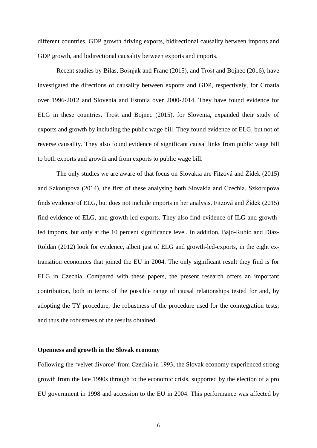different countries, GDP growth driving exports, bidirectional causality between imports and GDP growth, and bidirectional causality between exports and imports.

Recent studies by Bilas, Bošnjak and Franc (2015), and Trošt and Bojnec (2016), have investigated the directions of causality between exports and GDP, respectively, for Croatia over 1996-2012 and Slovenia and Estonia over 2000-2014. They have found evidence for ELG in these countries. Trošt and Bojnec (2015), for Slovenia, expanded their study of exports and growth by including the public wage bill. They found evidence of ELG, but not of reverse causality. They also found evidence of significant causal links from public wage bill to both exports and growth and from exports to public wage bill.

The only studies we are aware of that focus on Slovakia are Fitzová and Žídek (2015) and Szkorupova (2014), the first of these analysing both Slovakia and Czechia. Szkorupova finds evidence of ELG, but does not include imports in her analysis. Fitzová and Žídek (2015) find evidence of ELG, and growth-led exports. They also find evidence of ILG and growthled imports, but only at the 10 percent significance level. In addition, Bajo-Rubio and Diaz-Roldan (2012) look for evidence, albeit just of ELG and growth-led-exports, in the eight extransition economies that joined the EU in 2004. The only significant result they find is for ELG in Czechia. Compared with these papers, the present research offers an important contribution, both in terms of the possible range of causal relationships tested for and, by adopting the TY procedure, the robustness of the procedure used for the cointegration tests; and thus the robustness of the results obtained.

### **Openness and growth in the Slovak economy**

Following the 'velvet divorce' from Czechia in 1993, the Slovak economy experienced strong growth from the late 1990s through to the economic crisis, supported by the election of a pro EU government in 1998 and accession to the EU in 2004. This performance was affected by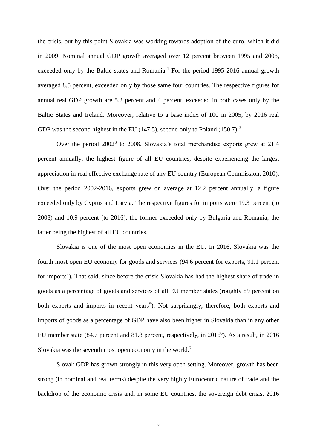the crisis, but by this point Slovakia was working towards adoption of the euro, which it did in 2009. Nominal annual GDP growth averaged over 12 percent between 1995 and 2008, exceeded only by the Baltic states and Romania.<sup>1</sup> For the period 1995-2016 annual growth averaged 8.5 percent, exceeded only by those same four countries. The respective figures for annual real GDP growth are 5.2 percent and 4 percent, exceeded in both cases only by the Baltic States and Ireland. Moreover, relative to a base index of 100 in 2005, by 2016 real GDP was the second highest in the EU (147.5), second only to Poland (150.7).<sup>2</sup>

Over the period  $2002<sup>3</sup>$  to 2008, Slovakia's total merchandise exports grew at 21.4 percent annually, the highest figure of all EU countries, despite experiencing the largest appreciation in real effective exchange rate of any EU country (European Commission, 2010). Over the period 2002-2016, exports grew on average at 12.2 percent annually, a figure exceeded only by Cyprus and Latvia. The respective figures for imports were 19.3 percent (to 2008) and 10.9 percent (to 2016), the former exceeded only by Bulgaria and Romania, the latter being the highest of all EU countries.

Slovakia is one of the most open economies in the EU. In 2016, Slovakia was the fourth most open EU economy for goods and services (94.6 percent for exports, 91.1 percent for imports<sup>4</sup>). That said, since before the crisis Slovakia has had the highest share of trade in goods as a percentage of goods and services of all EU member states (roughly 89 percent on both exports and imports in recent years<sup>5</sup>). Not surprisingly, therefore, both exports and imports of goods as a percentage of GDP have also been higher in Slovakia than in any other EU member state (84.7 percent and 81.8 percent, respectively, in 2016<sup>6</sup>). As a result, in 2016 Slovakia was the seventh most open economy in the world.<sup>7</sup>

Slovak GDP has grown strongly in this very open setting. Moreover, growth has been strong (in nominal and real terms) despite the very highly Eurocentric nature of trade and the backdrop of the economic crisis and, in some EU countries, the sovereign debt crisis. 2016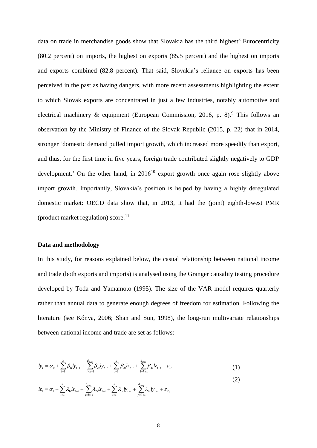data on trade in merchandise goods show that Slovakia has the third highest $8$  Eurocentricity (80.2 percent) on imports, the highest on exports (85.5 percent) and the highest on imports and exports combined (82.8 percent). That said, Slovakia's reliance on exports has been perceived in the past as having dangers, with more recent assessments highlighting the extent to which Slovak exports are concentrated in just a few industries, notably automotive and electrical machinery & equipment (European Commission, 2016, p. 8).<sup>9</sup> This follows an observation by the Ministry of Finance of the Slovak Republic (2015, p. 22) that in 2014, stronger 'domestic demand pulled import growth, which increased more speedily than export, and thus, for the first time in five years, foreign trade contributed slightly negatively to GDP development.' On the other hand, in  $2016^{10}$  export growth once again rose slightly above import growth. Importantly, Slovakia's position is helped by having a highly deregulated domestic market: OECD data show that, in 2013, it had the (joint) eighth-lowest PMR (product market regulation) score. $^{11}$ 

#### **Data and methodology**

In this study, for reasons explained below, the casual relationship between national income and trade (both exports and imports) is analysed using the Granger causality testing procedure developed by Toda and Yamamoto (1995). The size of the VAR model requires quarterly rather than annual data to generate enough degrees of freedom for estimation. Following the literature (see Kónya, 2006; Shan and Sun, 1998), the long-run multivariate relationships between national income and trade are set as follows:

$$
ly_{t} = \alpha_{0} + \sum_{i=1}^{k} \beta_{1i}ly_{t-i} + \sum_{j=k+1}^{d_{\text{max}}} \beta_{2i}ly_{t-i} + \sum_{i=1}^{k} \beta_{3i}lz_{t-i} + \sum_{j=k+1}^{d_{\text{max}}} \beta_{4i}lz_{t-i} + \varepsilon_{1t}
$$
\n(1)

$$
l_{Z_t} = \alpha_1 + \sum_{i=1}^k \lambda_{1i} l_{Z_{t-i}} + \sum_{j=k+1}^{d_{\text{max}}} \lambda_{2i} l_{Z_{t-i}} + \sum_{i=1}^k \lambda_{3i} l_{Z_{t-i}} + \sum_{j=k+1}^{d_{\text{max}}} \lambda_{4i} l_{Z_{t-i}} + \varepsilon_{2i}
$$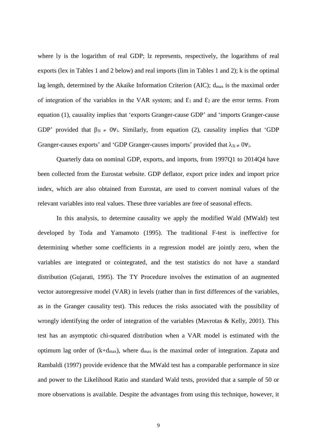where ly is the logarithm of real GDP; lz represents, respectively, the logarithms of real exports (lex in Tables 1 and 2 below) and real imports (lim in Tables 1 and 2); k is the optimal lag length, determined by the Akaike Information Criterion (AIC);  $d_{max}$  is the maximal order of integration of the variables in the VAR system; and  $\mathcal{E}_1$  and  $\mathcal{E}_2$  are the error terms. From equation (1), causality implies that 'exports Granger-cause GDP' and 'imports Granger-cause GDP' provided that  $\beta_{3i} \neq 0 \forall i$ . Similarly, from equation (2), causality implies that 'GDP Granger-causes exports' and 'GDP Granger-causes imports' provided that  $\lambda_{3i \neq 0} \forall i$ .

Quarterly data on nominal GDP, exports, and imports, from 1997Q1 to 2014Q4 have been collected from the Eurostat website. GDP deflator, export price index and import price index, which are also obtained from Eurostat, are used to convert nominal values of the relevant variables into real values. These three variables are free of seasonal effects.

In this analysis, to determine causality we apply the modified Wald (MWald) test developed by Toda and Yamamoto (1995). The traditional F-test is ineffective for determining whether some coefficients in a regression model are jointly zero, when the variables are integrated or cointegrated, and the test statistics do not have a standard distribution (Gujarati, 1995). The TY Procedure involves the estimation of an augmented vector autoregressive model (VAR) in levels (rather than in first differences of the variables, as in the Granger causality test). This reduces the risks associated with the possibility of wrongly identifying the order of integration of the variables (Mavrotas & Kelly, 2001). This test has an asymptotic chi-squared distribution when a VAR model is estimated with the optimum lag order of  $(k+d_{max})$ , where  $d_{max}$  is the maximal order of integration. Zapata and Rambaldi (1997) provide evidence that the MWald test has a comparable performance in size and power to the Likelihood Ratio and standard Wald tests, provided that a sample of 50 or more observations is available. Despite the advantages from using this technique, however, it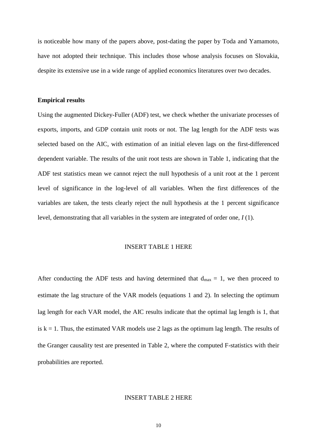is noticeable how many of the papers above, post-dating the paper by Toda and Yamamoto, have not adopted their technique. This includes those whose analysis focuses on Slovakia, despite its extensive use in a wide range of applied economics literatures over two decades.

#### **Empirical results**

Using the augmented Dickey-Fuller (ADF) test, we check whether the univariate processes of exports, imports, and GDP contain unit roots or not. The lag length for the ADF tests was selected based on the AIC, with estimation of an initial eleven lags on the first-differenced dependent variable. The results of the unit root tests are shown in Table 1, indicating that the ADF test statistics mean we cannot reject the null hypothesis of a unit root at the 1 percent level of significance in the log-level of all variables. When the first differences of the variables are taken, the tests clearly reject the null hypothesis at the 1 percent significance level, demonstrating that all variables in the system are integrated of order one, *I* (1).

#### INSERT TABLE 1 HERE

After conducting the ADF tests and having determined that  $d_{max} = 1$ , we then proceed to estimate the lag structure of the VAR models (equations 1 and 2). In selecting the optimum lag length for each VAR model, the AIC results indicate that the optimal lag length is 1, that is  $k = 1$ . Thus, the estimated VAR models use 2 lags as the optimum lag length. The results of the Granger causality test are presented in Table 2, where the computed F-statistics with their probabilities are reported.

#### INSERT TABLE 2 HERE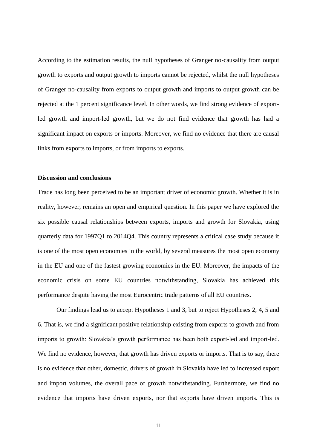According to the estimation results, the null hypotheses of Granger no-causality from output growth to exports and output growth to imports cannot be rejected, whilst the null hypotheses of Granger no-causality from exports to output growth and imports to output growth can be rejected at the 1 percent significance level. In other words, we find strong evidence of exportled growth and import-led growth, but we do not find evidence that growth has had a significant impact on exports or imports. Moreover, we find no evidence that there are causal links from exports to imports, or from imports to exports.

#### **Discussion and conclusions**

Trade has long been perceived to be an important driver of economic growth. Whether it is in reality, however, remains an open and empirical question. In this paper we have explored the six possible causal relationships between exports, imports and growth for Slovakia, using quarterly data for 1997Q1 to 2014Q4. This country represents a critical case study because it is one of the most open economies in the world, by several measures the most open economy in the EU and one of the fastest growing economies in the EU. Moreover, the impacts of the economic crisis on some EU countries notwithstanding, Slovakia has achieved this performance despite having the most Eurocentric trade patterns of all EU countries.

Our findings lead us to accept Hypotheses 1 and 3, but to reject Hypotheses 2, 4, 5 and 6. That is, we find a significant positive relationship existing from exports to growth and from imports to growth: Slovakia's growth performance has been both export-led and import-led. We find no evidence, however, that growth has driven exports or imports. That is to say, there is no evidence that other, domestic, drivers of growth in Slovakia have led to increased export and import volumes, the overall pace of growth notwithstanding. Furthermore, we find no evidence that imports have driven exports, nor that exports have driven imports. This is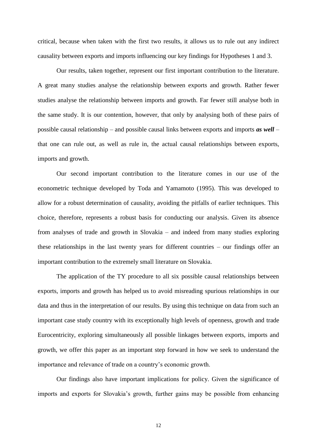critical, because when taken with the first two results, it allows us to rule out any indirect causality between exports and imports influencing our key findings for Hypotheses 1 and 3.

Our results, taken together, represent our first important contribution to the literature. A great many studies analyse the relationship between exports and growth. Rather fewer studies analyse the relationship between imports and growth. Far fewer still analyse both in the same study. It is our contention, however, that only by analysing both of these pairs of possible causal relationship – and possible causal links between exports and imports *as well* – that one can rule out, as well as rule in, the actual causal relationships between exports, imports and growth.

Our second important contribution to the literature comes in our use of the econometric technique developed by Toda and Yamamoto (1995). This was developed to allow for a robust determination of causality, avoiding the pitfalls of earlier techniques. This choice, therefore, represents a robust basis for conducting our analysis. Given its absence from analyses of trade and growth in Slovakia – and indeed from many studies exploring these relationships in the last twenty years for different countries – our findings offer an important contribution to the extremely small literature on Slovakia.

The application of the TY procedure to all six possible causal relationships between exports, imports and growth has helped us to avoid misreading spurious relationships in our data and thus in the interpretation of our results. By using this technique on data from such an important case study country with its exceptionally high levels of openness, growth and trade Eurocentricity, exploring simultaneously all possible linkages between exports, imports and growth, we offer this paper as an important step forward in how we seek to understand the importance and relevance of trade on a country's economic growth.

Our findings also have important implications for policy. Given the significance of imports and exports for Slovakia's growth, further gains may be possible from enhancing

12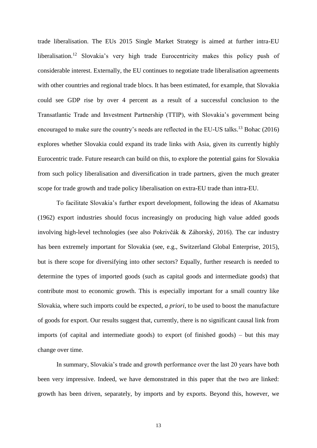trade liberalisation. The EUs 2015 Single Market Strategy is aimed at further intra-EU liberalisation.<sup>12</sup> Slovakia's very high trade Eurocentricity makes this policy push of considerable interest. Externally, the EU continues to negotiate trade liberalisation agreements with other countries and regional trade blocs. It has been estimated, for example, that Slovakia could see GDP rise by over 4 percent as a result of a successful conclusion to the Transatlantic Trade and Investment Partnership (TTIP), with Slovakia's government being encouraged to make sure the country's needs are reflected in the EU-US talks.<sup>13</sup> Bohac (2016) explores whether Slovakia could expand its trade links with Asia, given its currently highly Eurocentric trade. Future research can build on this, to explore the potential gains for Slovakia from such policy liberalisation and diversification in trade partners, given the much greater scope for trade growth and trade policy liberalisation on extra-EU trade than intra-EU.

To facilitate Slovakia's further export development, following the ideas of Akamatsu (1962) export industries should focus increasingly on producing high value added goods involving high-level technologies (see also Pokrivčák & Záhorský, 2016). The car industry has been extremely important for Slovakia (see, e.g., Switzerland Global Enterprise, 2015), but is there scope for diversifying into other sectors? Equally, further research is needed to determine the types of imported goods (such as capital goods and intermediate goods) that contribute most to economic growth. This is especially important for a small country like Slovakia, where such imports could be expected, *a priori*, to be used to boost the manufacture of goods for export. Our results suggest that, currently, there is no significant causal link from imports (of capital and intermediate goods) to export (of finished goods) – but this may change over time.

In summary, Slovakia's trade and growth performance over the last 20 years have both been very impressive. Indeed, we have demonstrated in this paper that the two are linked: growth has been driven, separately, by imports and by exports. Beyond this, however, we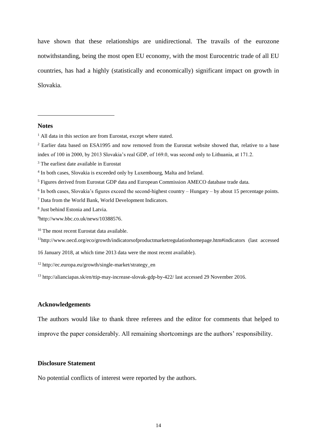have shown that these relationships are unidirectional. The travails of the eurozone notwithstanding, being the most open EU economy, with the most Eurocentric trade of all EU countries, has had a highly (statistically and economically) significant impact on growth in Slovakia.

### **Notes**

1

- <sup>2</sup> Earlier data based on ESA1995 and now removed from the Eurostat website showed that, relative to a base index of 100 in 2000, by 2013 Slovakia's real GDP, of 169.0, was second only to Lithuania, at 171.2.
- <sup>3</sup> The earliest date available in Eurostat

- <sup>5</sup> Figures derived from Eurostat GDP data and European Commission AMECO database trade data.
- <sup>6</sup> In both cases, Slovakia's figures exceed the second-highest country Hungary by about 15 percentage points.
- <sup>7</sup> Data from the World Bank, World Development Indicators.
- 8 Just behind Estonia and Latvia.
- <sup>9</sup>http://www.bbc.co.uk/news/10388576.
- <sup>10</sup> The most recent Eurostat data available.
- <sup>11</sup>http://www.oecd.org/eco/growth/indicatorsofproductmarketregulationhomepage.htm#indicators (last accessed

16 January 2018, at which time 2013 data were the most recent available).

- <sup>12</sup> http://ec.europa.eu/growth/single-market/strategy\_en
- <sup>13</sup> http://alianciapas.sk/en/ttip-may-increase-slovak-gdp-by-422/ last accessed 29 November 2016.

## **Acknowledgements**

The authors would like to thank three referees and the editor for comments that helped to improve the paper considerably. All remaining shortcomings are the authors' responsibility.

### **Disclosure Statement**

No potential conflicts of interest were reported by the authors.

 $<sup>1</sup>$  All data in this section are from Eurostat, except where stated.</sup>

<sup>&</sup>lt;sup>4</sup> In both cases, Slovakia is exceeded only by Luxembourg, Malta and Ireland.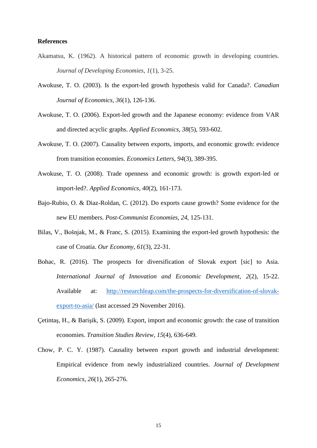### **References**

- Akamatsu, K. (1962). A historical pattern of economic growth in developing countries. *Journal of Developing Economies*, *1*(1), 3-25.
- Awokuse, T. O. (2003). Is the export-led growth hypothesis valid for Canada?. *Canadian Journal of Economics*, *36*(1), 126-136.
- Awokuse, T. O. (2006). Export-led growth and the Japanese economy: evidence from VAR and directed acyclic graphs. *Applied Economics*, *38*(5), 593-602.
- Awokuse, T. O. (2007). Causality between exports, imports, and economic growth: evidence from transition economies. *Economics Letters*, *94*(3), 389-395.
- Awokuse, T. O. (2008). Trade openness and economic growth: is growth export-led or import-led?. *Applied Economics*, *40*(2), 161-173.
- Bajo-Rubio, O. & Diaz-Roldan, C. (2012). Do exports cause growth? Some evidence for the new EU members. *Post-Communist Economies*, *24*, 125-131.
- Bilas, V., Bošnjak, M., & Franc, S. (2015). Examining the export-led growth hypothesis: the case of Croatia. *Our Economy*, *61*(3), 22-31.
- Bohac, R. (2016). The prospects for diversification of Slovak export [sic] to Asia. *International Journal of Innovation and Economic Development*, *2*(2), 15-22. Available at: [http://researchleap.com/the-prospects-for-diversification-of-slovak](http://researchleap.com/the-prospects-for-diversification-of-slovak-export-to-asia/)[export-to-asia/](http://researchleap.com/the-prospects-for-diversification-of-slovak-export-to-asia/) (last accessed 29 November 2016).
- Çetintaş, H., & Barişik, S. (2009). Export, import and economic growth: the case of transition economies. *Transition Studies Review*, *15*(4), 636-649.
- Chow, P. C. Y. (1987). Causality between export growth and industrial development: Empirical evidence from newly industrialized countries. *Journal of Development Economics*, *26*(1), 265-276.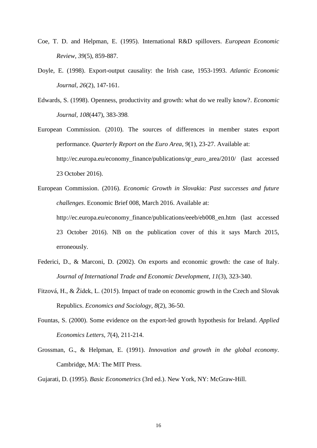- Coe, T. D. and Helpman, E. (1995). International R&D spillovers. *European Economic Review*, *39*(5), 859-887.
- Doyle, E. (1998). Export-output causality: the Irish case, 1953-1993. *Atlantic Economic Journal*, *26*(2), 147-161.
- Edwards, S. (1998). Openness, productivity and growth: what do we really know?. *Economic Journal, 108*(447), 383-398.
- European Commission. (2010). The sources of differences in member states export performance. *Quarterly Report on the Euro Area*, *9*(1), 23-27. Available at: http://ec.europa.eu/economy\_finance/publications/qr\_euro\_area/2010/ (last accessed 23 October 2016).
- European Commission. (2016). *Economic Growth in Slovakia: Past successes and future challenges*. Economic Brief 008, March 2016. Available at: http://ec.europa.eu/economy\_finance/publications/eeeb/eb008\_en.htm (last accessed 23 October 2016). NB on the publication cover of this it says March 2015, erroneously.
- Federici, D., & Marconi, D. (2002). On exports and economic growth: the case of Italy. *Journal of International Trade and Economic Development*, *11*(3), 323-340.
- Fitzová, H., & Žídek, L. (2015). Impact of trade on economic growth in the Czech and Slovak Republics. *Economics and Sociology*, *8*(2), 36-50.
- Fountas, S. (2000). Some evidence on the export-led growth hypothesis for Ireland. *Applied Economics Letters*, *7*(4), 211-214.
- Grossman, G., & Helpman, E. (1991). *Innovation and growth in the global economy*. Cambridge, MA: The MIT Press.

Gujarati, D. (1995). *Basic Econometrics* (3rd ed.). New York, NY: McGraw-Hill.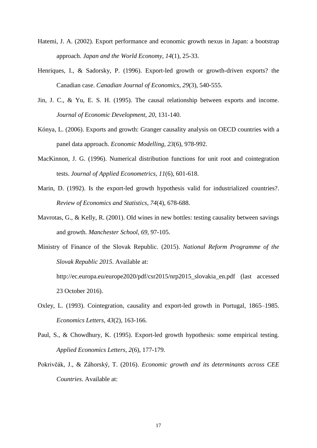- Hatemi, J. A. (2002). Export performance and economic growth nexus in Japan: a bootstrap approach. *Japan and the World Economy*, *14*(1), 25-33.
- Henriques, I., & Sadorsky, P. (1996). Export-led growth or growth-driven exports? the Canadian case. *Canadian Journal of Economics*, *29*(3), 540-555.
- Jin, J. C., & Yu, E. S. H. (1995). The causal relationship between exports and income. *Journal of Economic Development, 20*, 131-140.
- Kónya, L. (2006). Exports and growth: Granger causality analysis on OECD countries with a panel data approach. *Economic Modelling*, *23*(6), 978-992.
- MacKinnon, J. G. (1996). Numerical distribution functions for unit root and cointegration tests. *Journal of Applied Econometrics*, *11*(6), 601-618.
- Marin, D. (1992). Is the export-led growth hypothesis valid for industrialized countries?. *Review of Economics and Statistics*, *74*(4), 678-688.
- Mavrotas, G., & Kelly, R. (2001). Old wines in new bottles: testing causality between savings and growth. *Manchester School*, *69*, 97-105.

Ministry of Finance of the Slovak Republic. (2015). *National Reform Programme of the Slovak Republic 2015*. Available at: http://ec.europa.eu/europe2020/pdf/csr2015/nrp2015\_slovakia\_en.pdf (last accessed 23 October 2016).

- Oxley, L. (1993). Cointegration, causality and export-led growth in Portugal, 1865–1985. *Economics Letters*, *43*(2), 163-166.
- Paul, S., & Chowdhury, K. (1995). Export-led growth hypothesis: some empirical testing. *Applied Economics Letters*, *2*(6), 177-179.
- Pokrivčák, J., & Záhorský, T. (2016). *Economic growth and its determinants across CEE Countries*. Available at: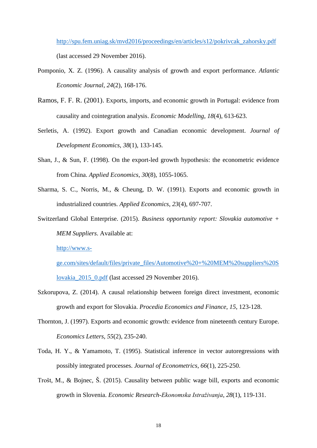[http://spu.fem.uniag.sk/mvd2016/proceedings/en/articles/s12/pokrivcak\\_zahorsky.pdf](http://spu.fem.uniag.sk/mvd2016/proceedings/en/articles/s12/pokrivcak_zahorsky.pdf) (last accessed 29 November 2016).

- Pomponio, X. Z. (1996). A causality analysis of growth and export performance. *Atlantic Economic Journal*, *24*(2), 168-176.
- Ramos, F. F. R. (2001). Exports, imports, and economic growth in Portugal: evidence from causality and cointegration analysis. *Economic Modelling*, *18*(4), 613-623.
- Serletis, A. (1992). Export growth and Canadian economic development. *Journal of Development Economics*, *38*(1), 133-145.
- Shan, J., & Sun, F. (1998). On the export-led growth hypothesis: the econometric evidence from China. *Applied Economics*, *30*(8), 1055-1065.
- Sharma, S. C., Norris, M., & Cheung, D. W. (1991). Exports and economic growth in industrialized countries. *Applied Economics*, *23*(4), 697-707.
- Switzerland Global Enterprise. (2015). *Business opportunity report: Slovakia automotive + MEM Suppliers*. Available at:

[http://www.s-](http://www.s-ge.com/sites/default/files/private_files/Automotive%20+%20MEM%20suppliers%20Slovakia_2015_0.pdf)

[ge.com/sites/default/files/private\\_files/Automotive%20+%20MEM%20suppliers%20S](http://www.s-ge.com/sites/default/files/private_files/Automotive%20+%20MEM%20suppliers%20Slovakia_2015_0.pdf) [lovakia\\_2015\\_0.pdf](http://www.s-ge.com/sites/default/files/private_files/Automotive%20+%20MEM%20suppliers%20Slovakia_2015_0.pdf) (last accessed 29 November 2016).

- Szkorupova, Z. (2014). A causal relationship between foreign direct investment, economic growth and export for Slovakia. *Procedia Economics and Finance*, *15*, 123-128.
- Thornton, J. (1997). Exports and economic growth: evidence from nineteenth century Europe. *Economics Letters*, *55*(2), 235-240.
- Toda, H. Y., & Yamamoto, T. (1995). Statistical inference in vector autoregressions with possibly integrated processes. *Journal of Econometrics*, *66*(1), 225-250.
- Trošt, M., & Bojnec, Š. (2015). Causality between public wage bill, exports and economic growth in Slovenia. *Economic Research-Ekonomska Istraživanja*, *28*(1), 119-131.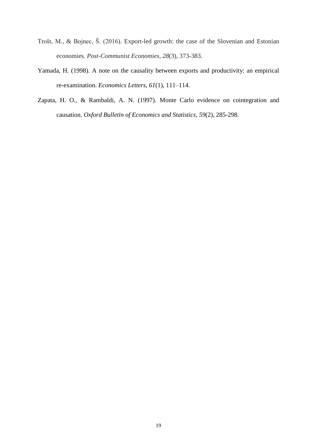- Trošt, M., & Bojnec, Š. (2016). Export-led growth: the case of the Slovenian and Estonian economies. *Post-Communist Economies*, *28*(3), 373-383.
- Yamada, H. (1998). A note on the causality between exports and productivity: an empirical re-examination. *Economics Letters*, *61*(1), 111–114.
- Zapata, H. O., & Rambaldi, A. N. (1997). Monte Carlo evidence on cointegration and causation. *Oxford Bulletin of Economics and Statistics*, *59*(2), 285-298.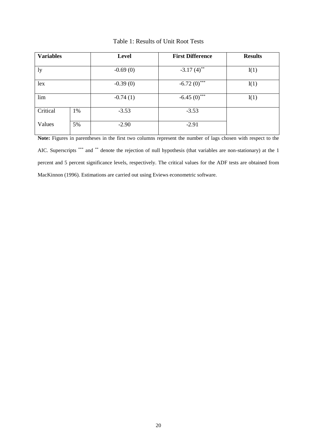| <b>Variables</b> |    | Level      | <b>First Difference</b>  | <b>Results</b> |
|------------------|----|------------|--------------------------|----------------|
|                  |    |            |                          |                |
| ly               |    | $-0.69(0)$ | $-3.17(4)$ <sup>**</sup> | I(1)           |
|                  |    |            |                          |                |
| lex              |    | $-0.39(0)$ | $-6.72(0)$ ***           | I(1)           |
|                  |    |            |                          |                |
| lim              |    | $-0.74(1)$ | $-6.45(0)$               | I(1)           |
|                  |    |            |                          |                |
| Critical         | 1% | $-3.53$    | $-3.53$                  |                |
|                  |    |            |                          |                |
| Values           | 5% | $-2.90$    | $-2.91$                  |                |
|                  |    |            |                          |                |

## Table 1: Results of Unit Root Tests

**Note:** Figures in parentheses in the first two columns represent the number of lags chosen with respect to the AIC. Superscripts \*\*\* and \*\* denote the rejection of null hypothesis (that variables are non-stationary) at the 1 percent and 5 percent significance levels, respectively. The critical values for the ADF tests are obtained from MacKinnon (1996). Estimations are carried out using Eviews econometric software.